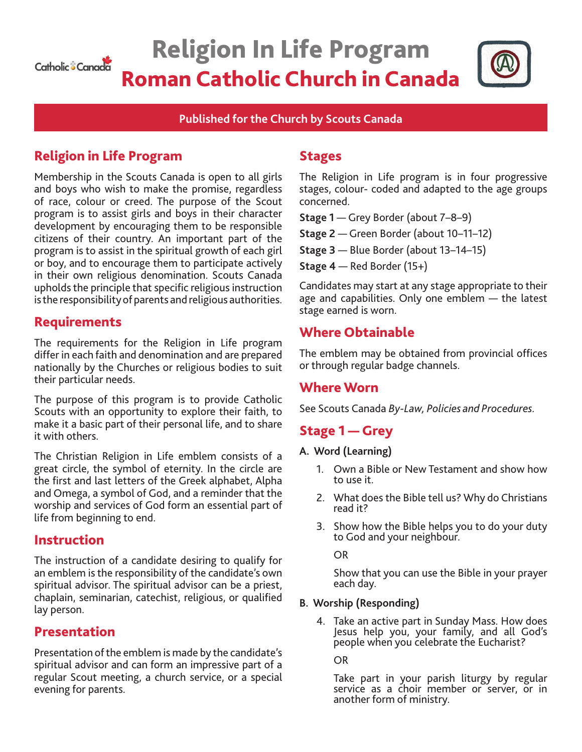

# Religion In Life Program Roman Catholic Church in Canada



#### **Published for the Church by Scouts Canada**

# Religion in Life Program

Membership in the Scouts Canada is open to all girls and boys who wish to make the promise, regardless of race, colour or creed. The purpose of the Scout program is to assist girls and boys in their character development by encouraging them to be responsible citizens of their country. An important part of the program is to assist in the spiritual growth of each girl or boy, and to encourage them to participate actively in their own religious denomination. Scouts Canada upholds the principle that specific religious instruction is the responsibility of parents and religious authorities.

## Requirements

The requirements for the Religion in Life program differ in each faith and denomination and are prepared nationally by the Churches or religious bodies to suit their particular needs.

The purpose of this program is to provide Catholic Scouts with an opportunity to explore their faith, to make it a basic part of their personal life, and to share it with others.

The Christian Religion in Life emblem consists of a great circle, the symbol of eternity. In the circle are the first and last letters of the Greek alphabet, Alpha and Omega, a symbol of God, and a reminder that the worship and services of God form an essential part of life from beginning to end.

#### Instruction

The instruction of a candidate desiring to qualify for an emblem is the responsibility of the candidate's own spiritual advisor. The spiritual advisor can be a priest, chaplain, seminarian, catechist, religious, or qualified lay person.

#### Presentation

Presentation of the emblem is made by the candidate's spiritual advisor and can form an impressive part of a regular Scout meeting, a church service, or a special evening for parents.

## Stages

The Religion in Life program is in four progressive stages, colour- coded and adapted to the age groups concerned.

**Stage 1** — Grey Border (about 7–8–9)

**Stage 2** — Green Border (about 10–11–12)

**Stage 3** — Blue Border (about 13–14–15)

**Stage 4** — Red Border (15+)

Candidates may start at any stage appropriate to their age and capabilities. Only one emblem — the latest stage earned is worn.

# Where Obtainable

The emblem may be obtained from provincial offices or through regular badge channels.

## Where Worn

See Scouts Canada *By-Law, Policies and Procedures.* 

# Stage 1 — Grey

#### **A. Word (Learning)**

- 1. Own a Bible or New Testament and show how to use it.
- 2. What does the Bible tell us? Why do Christians read it?
- 3. Show how the Bible helps you to do your duty to God and your neighbour.

OR

Show that you can use the Bible in your prayer each day.

#### **B. Worship (Responding)**

4. Take an active part in Sunday Mass. How does Jesus help you, your family, and all God's people when you celebrate the Eucharist?

OR

Take part in your parish liturgy by regular service as a choir member or server, or in another form of ministry.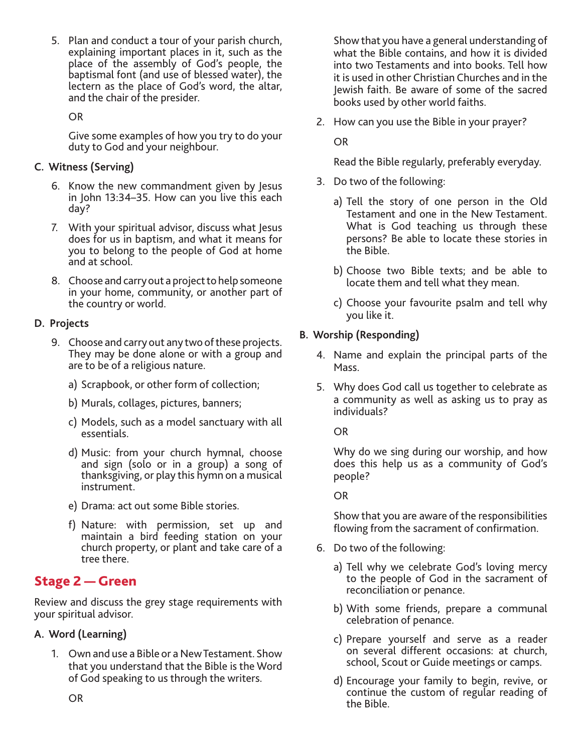5. Plan and conduct a tour of your parish church, explaining important places in it, such as the place of the assembly of God's people, the baptismal font (and use of blessed water), the lectern as the place of God's word, the altar, and the chair of the presider.

OR

Give some examples of how you try to do your duty to God and your neighbour.

#### **C. Witness (Serving)**

- 6. Know the new commandment given by Jesus in John 13:34–35. How can you live this each day?
- 7. With your spiritual advisor, discuss what Jesus does for us in baptism, and what it means for you to belong to the people of God at home and at school.
- 8. Choose and carry out a project to help someone in your home, community, or another part of the country or world.

### **D. Projects**

- 9. Choose and carry out any two of these projects. They may be done alone or with a group and are to be of a religious nature.
	- a) Scrapbook, or other form of collection;
	- b) Murals, collages, pictures, banners;
	- c) Models, such as a model sanctuary with all essentials.
	- d) Music: from your church hymnal, choose and sign (solo or in a group) a song of thanksgiving, or play this hymn on a musical instrument.
	- e) Drama: act out some Bible stories.
	- f) Nature: with permission, set up and maintain a bird feeding station on your church property, or plant and take care of a tree there.

# Stage 2 — Green

Review and discuss the grey stage requirements with your spiritual advisor.

#### **A. Word (Learning)**

1. Own and use a Bible or a New Testament. Show that you understand that the Bible is the Word of God speaking to us through the writers.

Show that you have a general understanding of what the Bible contains, and how it is divided into two Testaments and into books. Tell how it is used in other Christian Churches and in the Jewish faith. Be aware of some of the sacred books used by other world faiths.

2. How can you use the Bible in your prayer?

OR

Read the Bible regularly, preferably everyday.

- 3. Do two of the following:
	- a) Tell the story of one person in the Old Testament and one in the New Testament. What is God teaching us through these persons? Be able to locate these stories in the Bible.
	- b) Choose two Bible texts; and be able to locate them and tell what they mean.
	- c) Choose your favourite psalm and tell why you like it.

### **B. Worship (Responding)**

- 4. Name and explain the principal parts of the Mass.
- 5. Why does God call us together to celebrate as a community as well as asking us to pray as individuals?

OR

Why do we sing during our worship, and how does this help us as a community of God's people?

OR

Show that you are aware of the responsibilities flowing from the sacrament of confirmation.

- 6. Do two of the following:
	- a) Tell why we celebrate God's loving mercy to the people of God in the sacrament of reconciliation or penance.
	- b) With some friends, prepare a communal celebration of penance.
	- c) Prepare yourself and serve as a reader on several different occasions: at church, school, Scout or Guide meetings or camps.
	- d) Encourage your family to begin, revive, or continue the custom of regular reading of the Bible.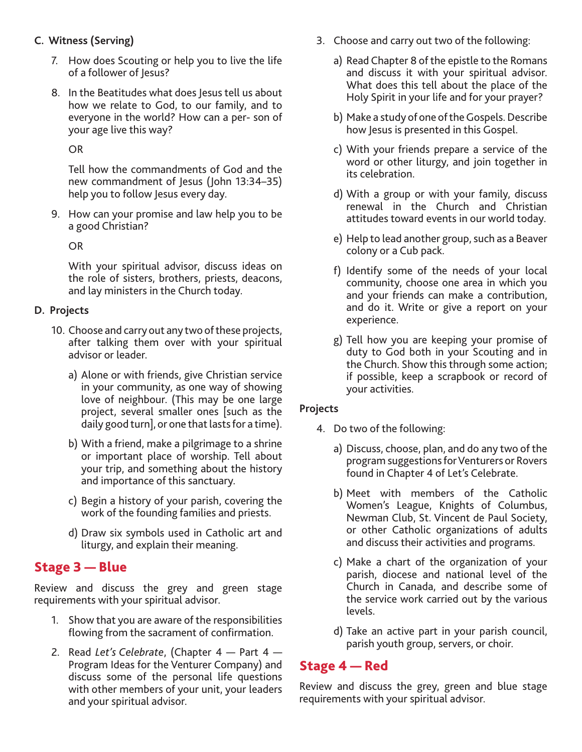#### **C. Witness (Serving)**

- 7. How does Scouting or help you to live the life of a follower of Jesus?
- 8. In the Beatitudes what does Jesus tell us about how we relate to God, to our family, and to everyone in the world? How can a per- son of your age live this way?

OR

Tell how the commandments of God and the new commandment of Jesus (John 13:34–35) help you to follow Jesus every day.

9. How can your promise and law help you to be a good Christian?

OR

With your spiritual advisor, discuss ideas on the role of sisters, brothers, priests, deacons, and lay ministers in the Church today.

#### **D. Projects**

- 10. Choose and carry out any two of these projects, after talking them over with your spiritual advisor or leader.
	- a) Alone or with friends, give Christian service in your community, as one way of showing love of neighbour. (This may be one large project, several smaller ones [such as the daily good turn], or one that lasts for a time).
	- b) With a friend, make a pilgrimage to a shrine or important place of worship. Tell about your trip, and something about the history and importance of this sanctuary.
	- c) Begin a history of your parish, covering the work of the founding families and priests.
	- d) Draw six symbols used in Catholic art and liturgy, and explain their meaning.

# Stage 3 — Blue

Review and discuss the grey and green stage requirements with your spiritual advisor.

- 1. Show that you are aware of the responsibilities flowing from the sacrament of confirmation.
- 2. Read *Let's Celebrate*, (Chapter 4 Part 4 Program Ideas for the Venturer Company) and discuss some of the personal life questions with other members of your unit, your leaders and your spiritual advisor.
- 3. Choose and carry out two of the following:
	- a) Read Chapter 8 of the epistle to the Romans and discuss it with your spiritual advisor. What does this tell about the place of the Holy Spirit in your life and for your prayer?
	- b) Make a study of one of the Gospels. Describe how Jesus is presented in this Gospel.
	- c) With your friends prepare a service of the word or other liturgy, and join together in its celebration.
	- d) With a group or with your family, discuss renewal in the Church and Christian attitudes toward events in our world today.
	- e) Help to lead another group, such as a Beaver colony or a Cub pack.
	- f) Identify some of the needs of your local community, choose one area in which you and your friends can make a contribution, and do it. Write or give a report on your experience.
	- g) Tell how you are keeping your promise of duty to God both in your Scouting and in the Church. Show this through some action; if possible, keep a scrapbook or record of your activities.

#### **Projects**

- 4. Do two of the following:
	- a) Discuss, choose, plan, and do any two of the program suggestions for Venturers or Rovers found in Chapter 4 of Let's Celebrate.
	- b) Meet with members of the Catholic Women's League, Knights of Columbus, Newman Club, St. Vincent de Paul Society, or other Catholic organizations of adults and discuss their activities and programs.
	- c) Make a chart of the organization of your parish, diocese and national level of the Church in Canada, and describe some of the service work carried out by the various levels.
	- d) Take an active part in your parish council, parish youth group, servers, or choir.

## Stage 4 — Red

Review and discuss the grey, green and blue stage requirements with your spiritual advisor.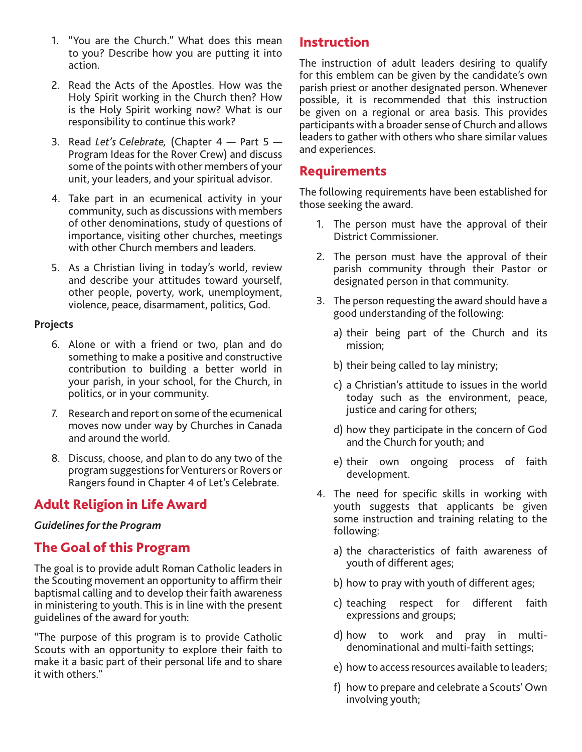- 1. "You are the Church." What does this mean to you? Describe how you are putting it into action.
- 2. Read the Acts of the Apostles. How was the Holy Spirit working in the Church then? How is the Holy Spirit working now? What is our responsibility to continue this work?
- 3. Read *Let's Celebrate,* (Chapter 4 Part 5 Program Ideas for the Rover Crew) and discuss some of the points with other members of your unit, your leaders, and your spiritual advisor.
- 4. Take part in an ecumenical activity in your community, such as discussions with members of other denominations, study of questions of importance, visiting other churches, meetings with other Church members and leaders.
- 5. As a Christian living in today's world, review and describe your attitudes toward yourself, other people, poverty, work, unemployment, violence, peace, disarmament, politics, God.

#### **Projects**

- 6. Alone or with a friend or two, plan and do something to make a positive and constructive contribution to building a better world in your parish, in your school, for the Church, in politics, or in your community.
- 7. Research and report on some of the ecumenical moves now under way by Churches in Canada and around the world.
- 8. Discuss, choose, and plan to do any two of the program suggestions for Venturers or Rovers or Rangers found in Chapter 4 of Let's Celebrate.

# Adult Religion in Life Award

#### *Guidelines for the Program*

# The Goal of this Program

The goal is to provide adult Roman Catholic leaders in the Scouting movement an opportunity to affirm their baptismal calling and to develop their faith awareness in ministering to youth. This is in line with the present guidelines of the award for youth:

"The purpose of this program is to provide Catholic Scouts with an opportunity to explore their faith to make it a basic part of their personal life and to share it with others."

# Instruction

The instruction of adult leaders desiring to qualify for this emblem can be given by the candidate's own parish priest or another designated person. Whenever possible, it is recommended that this instruction be given on a regional or area basis. This provides participants with a broader sense of Church and allows leaders to gather with others who share similar values and experiences.

# Requirements

The following requirements have been established for those seeking the award.

- 1. The person must have the approval of their District Commissioner.
- 2. The person must have the approval of their parish community through their Pastor or designated person in that community.
- 3. The person requesting the award should have a good understanding of the following:
	- a) their being part of the Church and its mission;
	- b) their being called to lay ministry;
	- c) a Christian's attitude to issues in the world today such as the environment, peace, justice and caring for others;
	- d) how they participate in the concern of God and the Church for youth; and
	- e) their own ongoing process of faith development.
- 4. The need for specific skills in working with youth suggests that applicants be given some instruction and training relating to the following:
	- a) the characteristics of faith awareness of youth of different ages;
	- b) how to pray with youth of different ages;
	- c) teaching respect for different faith expressions and groups;
	- d) how to work and pray in multidenominational and multi-faith settings;
	- e) how to access resources available to leaders;
	- f) how to prepare and celebrate a Scouts' Own involving youth;